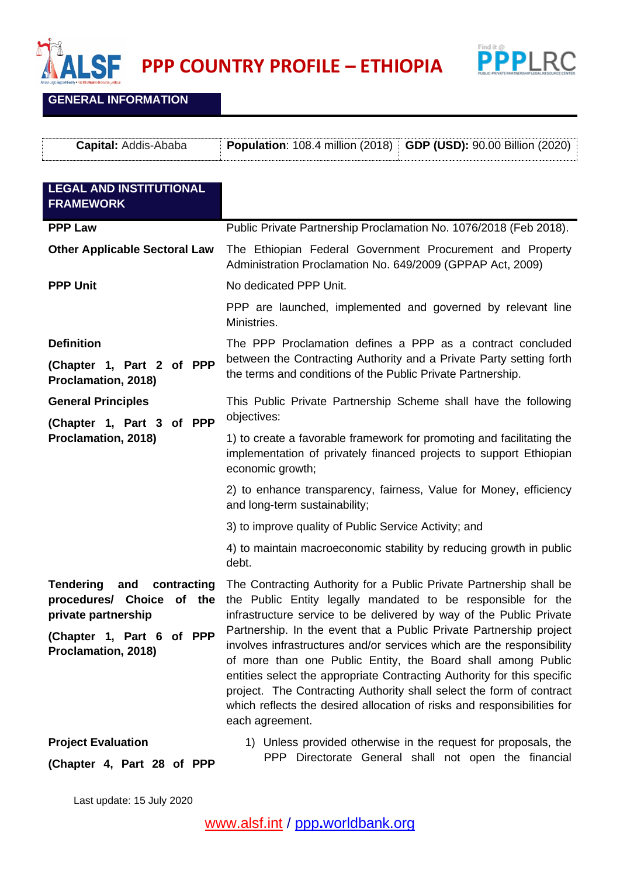



**GENERAL INFORMATION**

| <b>Capital: Addis-Ababa</b>                                                                                                                       | <b>Population: 108.4 million (2018)</b><br><b>GDP (USD): 90.00 Billion (2020)</b>                                                                                                                                                                                                                                                                                                                                                                                                                                                                                             |
|---------------------------------------------------------------------------------------------------------------------------------------------------|-------------------------------------------------------------------------------------------------------------------------------------------------------------------------------------------------------------------------------------------------------------------------------------------------------------------------------------------------------------------------------------------------------------------------------------------------------------------------------------------------------------------------------------------------------------------------------|
| <b>LEGAL AND INSTITUTIONAL</b><br><b>FRAMEWORK</b>                                                                                                |                                                                                                                                                                                                                                                                                                                                                                                                                                                                                                                                                                               |
| <b>PPP Law</b>                                                                                                                                    | Public Private Partnership Proclamation No. 1076/2018 (Feb 2018).                                                                                                                                                                                                                                                                                                                                                                                                                                                                                                             |
| <b>Other Applicable Sectoral Law</b>                                                                                                              | The Ethiopian Federal Government Procurement and Property<br>Administration Proclamation No. 649/2009 (GPPAP Act, 2009)                                                                                                                                                                                                                                                                                                                                                                                                                                                       |
| <b>PPP Unit</b>                                                                                                                                   | No dedicated PPP Unit.                                                                                                                                                                                                                                                                                                                                                                                                                                                                                                                                                        |
|                                                                                                                                                   | PPP are launched, implemented and governed by relevant line<br>Ministries.                                                                                                                                                                                                                                                                                                                                                                                                                                                                                                    |
| <b>Definition</b>                                                                                                                                 | The PPP Proclamation defines a PPP as a contract concluded                                                                                                                                                                                                                                                                                                                                                                                                                                                                                                                    |
| (Chapter 1, Part 2 of PPP<br>Proclamation, 2018)                                                                                                  | between the Contracting Authority and a Private Party setting forth<br>the terms and conditions of the Public Private Partnership.                                                                                                                                                                                                                                                                                                                                                                                                                                            |
| <b>General Principles</b><br>(Chapter 1, Part 3 of PPP                                                                                            | This Public Private Partnership Scheme shall have the following<br>objectives:                                                                                                                                                                                                                                                                                                                                                                                                                                                                                                |
| Proclamation, 2018)                                                                                                                               | 1) to create a favorable framework for promoting and facilitating the<br>implementation of privately financed projects to support Ethiopian<br>economic growth;                                                                                                                                                                                                                                                                                                                                                                                                               |
|                                                                                                                                                   | 2) to enhance transparency, fairness, Value for Money, efficiency<br>and long-term sustainability;                                                                                                                                                                                                                                                                                                                                                                                                                                                                            |
|                                                                                                                                                   | 3) to improve quality of Public Service Activity; and                                                                                                                                                                                                                                                                                                                                                                                                                                                                                                                         |
|                                                                                                                                                   | 4) to maintain macroeconomic stability by reducing growth in public<br>debt.                                                                                                                                                                                                                                                                                                                                                                                                                                                                                                  |
| <b>Tendering</b><br>contracting<br>and<br>procedures/<br>Choice of the<br>private partnership<br>(Chapter 1, Part 6 of PPP<br>Proclamation, 2018) | The Contracting Authority for a Public Private Partnership shall be<br>the Public Entity legally mandated to be responsible for the<br>infrastructure service to be delivered by way of the Public Private<br>Partnership. In the event that a Public Private Partnership project<br>involves infrastructures and/or services which are the responsibility<br>of more than one Public Entity, the Board shall among Public<br>entities select the appropriate Contracting Authority for this specific<br>project. The Contracting Authority shall select the form of contract |
|                                                                                                                                                   | which reflects the desired allocation of risks and responsibilities for<br>each agreement.                                                                                                                                                                                                                                                                                                                                                                                                                                                                                    |
| <b>Project Evaluation</b><br>(Chapter 4, Part 28 of PPP                                                                                           | 1) Unless provided otherwise in the request for proposals, the<br>PPP Directorate General shall not open the financial                                                                                                                                                                                                                                                                                                                                                                                                                                                        |

Last update: 15 July 2020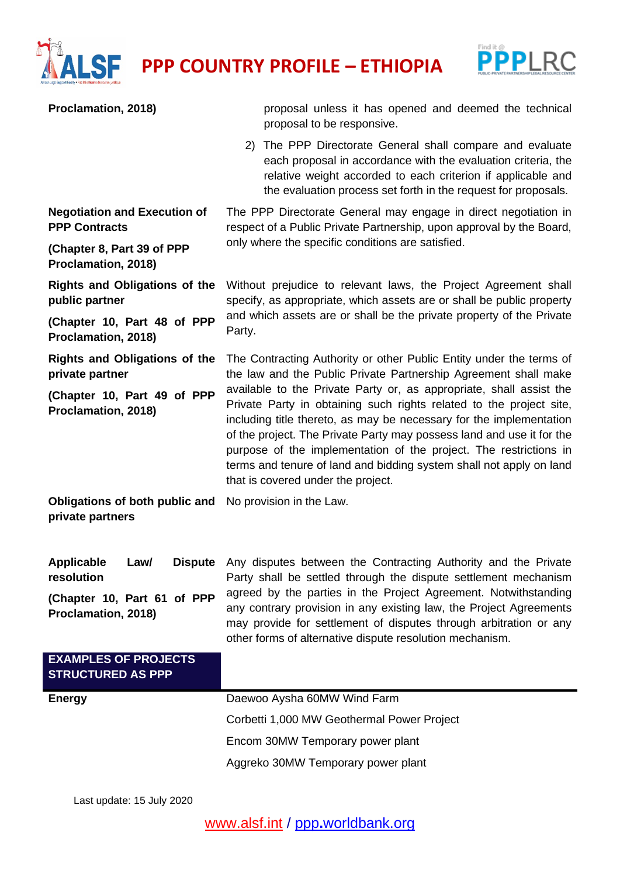

**PROFILE - ETHIOPIA** 



| Proclamation, 2018)                                         | proposal unless it has opened and deemed the technical<br>proposal to be responsive.                                                                                                                                                                                                                                                                                                                                                                                         |
|-------------------------------------------------------------|------------------------------------------------------------------------------------------------------------------------------------------------------------------------------------------------------------------------------------------------------------------------------------------------------------------------------------------------------------------------------------------------------------------------------------------------------------------------------|
|                                                             | The PPP Directorate General shall compare and evaluate<br>2)<br>each proposal in accordance with the evaluation criteria, the<br>relative weight accorded to each criterion if applicable and<br>the evaluation process set forth in the request for proposals.                                                                                                                                                                                                              |
| <b>Negotiation and Execution of</b><br><b>PPP Contracts</b> | The PPP Directorate General may engage in direct negotiation in<br>respect of a Public Private Partnership, upon approval by the Board,                                                                                                                                                                                                                                                                                                                                      |
| (Chapter 8, Part 39 of PPP<br>Proclamation, 2018)           | only where the specific conditions are satisfied.                                                                                                                                                                                                                                                                                                                                                                                                                            |
| <b>Rights and Obligations of the</b><br>public partner      | Without prejudice to relevant laws, the Project Agreement shall<br>specify, as appropriate, which assets are or shall be public property                                                                                                                                                                                                                                                                                                                                     |
| (Chapter 10, Part 48 of PPP<br>Proclamation, 2018)          | and which assets are or shall be the private property of the Private<br>Party.                                                                                                                                                                                                                                                                                                                                                                                               |
| <b>Rights and Obligations of the</b><br>private partner     | The Contracting Authority or other Public Entity under the terms of<br>the law and the Public Private Partnership Agreement shall make                                                                                                                                                                                                                                                                                                                                       |
| (Chapter 10, Part 49 of PPP<br>Proclamation, 2018)          | available to the Private Party or, as appropriate, shall assist the<br>Private Party in obtaining such rights related to the project site,<br>including title thereto, as may be necessary for the implementation<br>of the project. The Private Party may possess land and use it for the<br>purpose of the implementation of the project. The restrictions in<br>terms and tenure of land and bidding system shall not apply on land<br>that is covered under the project. |
| Obligations of both public and<br>private partners          | No provision in the Law.                                                                                                                                                                                                                                                                                                                                                                                                                                                     |
| Applicable<br>Law/<br>resolution                            | Dispute Any disputes between the Contracting Authority and the Private<br>Party shall be settled through the dispute settlement mechanism                                                                                                                                                                                                                                                                                                                                    |
| (Chapter 10, Part 61 of PPP<br>Proclamation, 2018)          | agreed by the parties in the Project Agreement. Notwithstanding<br>any contrary provision in any existing law, the Project Agreements<br>may provide for settlement of disputes through arbitration or any<br>other forms of alternative dispute resolution mechanism.                                                                                                                                                                                                       |
| <b>EXAMPLES OF PROJECTS</b><br><b>STRUCTURED AS PPP</b>     |                                                                                                                                                                                                                                                                                                                                                                                                                                                                              |
| <b>Energy</b>                                               | Daewoo Aysha 60MW Wind Farm                                                                                                                                                                                                                                                                                                                                                                                                                                                  |
|                                                             | Corbetti 1,000 MW Geothermal Power Project                                                                                                                                                                                                                                                                                                                                                                                                                                   |
|                                                             | Encom 30MW Temporary power plant                                                                                                                                                                                                                                                                                                                                                                                                                                             |
|                                                             | Aggreko 30MW Temporary power plant                                                                                                                                                                                                                                                                                                                                                                                                                                           |
|                                                             |                                                                                                                                                                                                                                                                                                                                                                                                                                                                              |

Last update: 15 July 2020

[www.alsf.int](http://www.alsf.int/) / ppp**.**[worldbank.org](https://ppp.worldbank.org/public-private-partnership/)